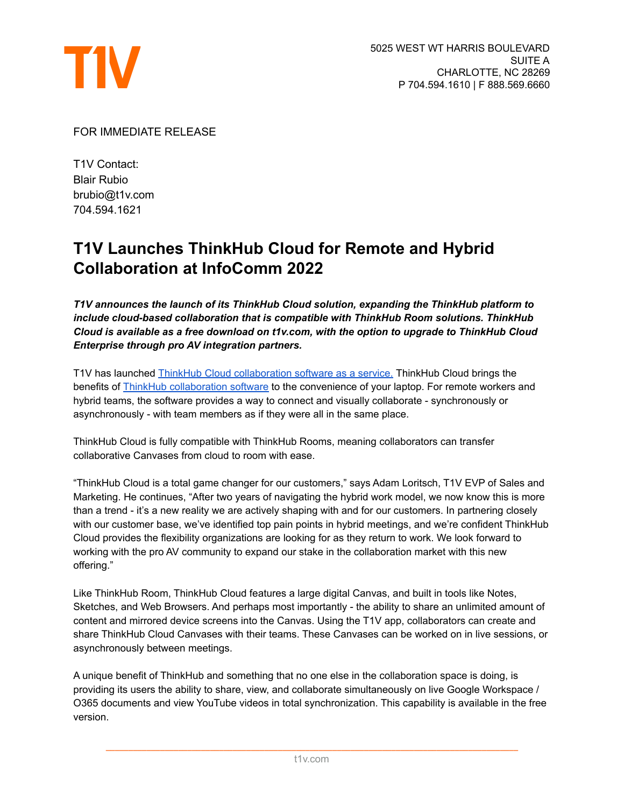

FOR IMMEDIATE RELEASE

T1V Contact: Blair Rubio brubio@t1v.com 704.594.1621

## **T1V Launches ThinkHub Cloud for Remote and Hybrid Collaboration at InfoComm 2022**

*T1V announces the launch of its ThinkHub Cloud solution, expanding the ThinkHub platform to include cloud-based collaboration that is compatible with ThinkHub Room solutions. ThinkHub Cloud is available as a free download on t1v.com, with the option to upgrade to ThinkHub Cloud Enterprise through pro AV integration partners.*

T1V has launched ThinkHub Cloud [collaboration](https://www.t1v.com/thinkhub-cloud) software as a service. ThinkHub Cloud brings the benefits of **ThinkHub [collaboration](https://www.t1v.com/thinkhub) software to the convenience of your laptop**. For remote workers and hybrid teams, the software provides a way to connect and visually collaborate - synchronously or asynchronously - with team members as if they were all in the same place.

ThinkHub Cloud is fully compatible with ThinkHub Rooms, meaning collaborators can transfer collaborative Canvases from cloud to room with ease.

"ThinkHub Cloud is a total game changer for our customers," says Adam Loritsch, T1V EVP of Sales and Marketing. He continues, "After two years of navigating the hybrid work model, we now know this is more than a trend - it's a new reality we are actively shaping with and for our customers. In partnering closely with our customer base, we've identified top pain points in hybrid meetings, and we're confident ThinkHub Cloud provides the flexibility organizations are looking for as they return to work. We look forward to working with the pro AV community to expand our stake in the collaboration market with this new offering."

Like ThinkHub Room, ThinkHub Cloud features a large digital Canvas, and built in tools like Notes, Sketches, and Web Browsers. And perhaps most importantly - the ability to share an unlimited amount of content and mirrored device screens into the Canvas. Using the T1V app, collaborators can create and share ThinkHub Cloud Canvases with their teams. These Canvases can be worked on in live sessions, or asynchronously between meetings.

A unique benefit of ThinkHub and something that no one else in the collaboration space is doing, is providing its users the ability to share, view, and collaborate simultaneously on live Google Workspace / O365 documents and view YouTube videos in total synchronization. This capability is available in the free version.